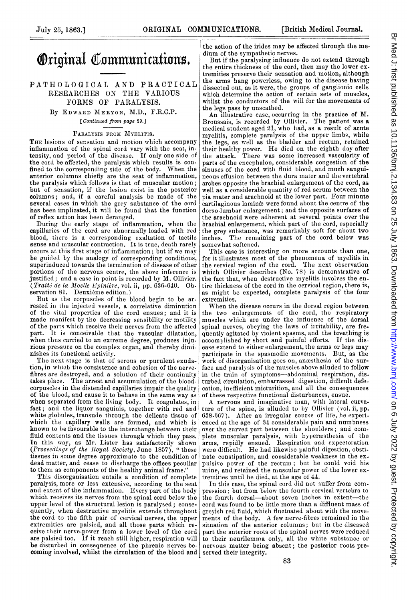# Original Communications.

## PATHOLOGICAL AND PRACTICAL RESEARCHES ON THE VARIOUS FORMS OF PARALYSIS.

By EDWARD MERYON, M.D., F.R.C.P. [Continued from page 29.]

#### PARALYSIS FROM MYELITIS.

THE lesions of sensation and motion which accompany inflammation of the Spinal cord vary with the seat, intensity, and period of the disease. If only one side of the cord be affected, the paralysis which results is confined to the corresponding side of the body. When the anterior columns chiefly are the seat of inflammation, the paralysis which follows is that of muscular motion; but of sensation, if the lesion exist in the posterior columns; and, if a careful analysis be made of the several cases in which the grey snbstance of the cord bas been implicated, it will be found that the function of reflex action has been deranged.

During the early stage of inflammation, when the capillaries of the cord are abnormally loaded with red blood, there is <sup>a</sup> corresponding exaltation of tactile sense and muscular contraction. It is true, death rarely occurs at this first stage of inflammation; but if we may be guided by the analogy of corresponding conditions, superinduced towards the termination of disease of other portions of the nervous centre, the above inference is justified: and <sup>a</sup> case in point is recorded by M. Ollivier. (Traité de la Moelle Epinière, vol. ii, pp. 636-640. Observation 81. Deuxième edition.)

But as the corpuscles of the blood begin to be arrested in the injected vessels, <sup>a</sup> correlative diminution of the vital properties of the cord ensues; and it is made manifest by the decreasing sensibility or motility of the parts which receive their nerves from the affected part. It is conceivable that the vascular dilatation, when thus carried to an extreme degree, produces injurious pressure on the complex organ, and thereby diminishes its functional activity.

The next stage is that of serous or purulent exudation, in which the consistence and cohesion of the nervefibres are destroyed, and a solution of their continuity takes place. The arrest and accumulation of the bloodcorpuscles in the distended capillaries impair the quality of the blood, and cause it to behave in the same way as when separated from the living body. It coagulates, in fact; and the liquor sanguinis, together with red and white globules, transude through the delicate tissue of which the capillary walls are formed, and which is known to be favourable to the interchange between their fluid contents and the tissues through which they pass. In this way, as Mr. Lister has satisfactorily shown<br>(Proceedings of the Royal Society, June 1857), "these tissues in some degree approximate to the condition of dead matter, and cease to discharge the offices peculiar to them as components of the healthy animal frame."

This disorganisation entails a condition of complete paralysis, more or less extensive, according to the seat and extent of the inflammation. Every part of the body which receives its nerves from the spinal cord below the upper level of the structural lesion is paralysed ; conse quently, when destructive myelitis extends throughout the cord to the fifth pair of cervical nerves, the upper extremities are palsied, and all those parts which receive their nerve-power from a lower level of the cord are palsied too. If it reach still higher, respiration will be disturbed in consequence of the phrenic nerves becoming involved, whilst the circulation of the blood and served their integrity.

the action of the irides may be affected through the medium of the sympathetic nerves.

But if the paralysing influence do not extend through the entire thickness of the cord, then may the lower extremities preserve their sensation and motion, although the arms hang powerless, owing to the disease having dissected out, as it were, the groups of ganglionic cells which determine the action of certain sets of muscles, which determine the action of certain sets of muscles,<br>whilst the conductors of the will for the movements of<br>the legs pass by unscathed.<br>An illustrative case, occurring in the practice of M.<br>Annustais, is recorded by Olli

the legs pass by unscathed.<br>An illustrative case, occurring in the practice of M. Broussais, is recorded by Ollivier. The patient was <sup>a</sup> medical student aged  $21$ , who had, as a result of acute myelitis, complete paralysis of the upper limbs, while the legs, as well as the bladder and rectum, retained their healthy power. He died on the eighth day after the attack. There was some increased vascularity of parts of the encephalon, considerable congestion of the sinuses of the cord with fluid blood, and much sanguineous effusion between the dura mater and the vertebral arehes opposite the brachial enlargement of the cord, as well as <sup>a</sup> considerable quantity of red serum between the pia mater and arachnoid at the lower part. Four minute cartilaginous lamina were found about the centre of the dorso.lumbar enlargement; and the opposite surfaces of the arachnoid were adherent at several points over the brachial enlargement. which part of the cord, especially the grey substance, was remarkably soft for about two inches. The remaining part of the cord below was somewhat softened.

This case is interesting on more accounts than one, for it illustrates most of the phenomena of myelitis in the cervical region of the cord. The next observation which Ollivier describes (No. 78) is demonstrative of the fact that, when destructive myelitis involves the entire thickness of the cord in the cervical region, there is, as might be expected, complete paralysis of the four extremities.

When the disease occurs in the dorsal region between the two enlargements of the cord, the respiratory<br>muscles which are under the influence of the dorsal spinal nerves, obeying the laws of irritability, are frequentlyagitated by violent spasms, and the breathing is accomplished byshort and painful efforts. If the disease extend to either enlargement, the arms or legs may participate in the spasmodic movements. But, as the work of disorganisation goes on, anæsthesia of the surface and paralysis of the muscles above alluded to follow in the train of symptoms-abdominal respiration, disturbed circulation, embarrassed digestion, difficult defecation, inefficient micturition, and all the consequences of these respective functional disturbances, ensue.

A nervous and imaginative man, with lateral curvature of the spine, is alluded to by Ollivier (vol. ii, pp. 658-667). After an irregular course of life, he experienced at the age of 34 considerable pain and numbness over the curved part between the shoulders; and complete muscular paralysis, with hyperæsthesia of the arms, rapidly ensued. Respiration and expectoration were difficult. He had likewise painful digestion, obstinate constipation, and considerable weakness in the expuilsive power of the rectum; buit he could void his urine, and retained the muscular power of the lower extremnities until he died, at the age of 44.

In this case, the spinal cord did not suffer from compression; but from below the fourth cervical vertebra to the fourth dorsal-about seven inches in extent-the cord was found to be little more than a diffluent mass of greyish red fluid, which fluctuated about witlh the movements of the body. A few nerve-fibres remained in the situation of the anterior columns; but in the diseased part the anterior roots of the spinal nerves were reduced to their neurilemma only, all the white substance or nervous matter being absent; the posterior roots pre-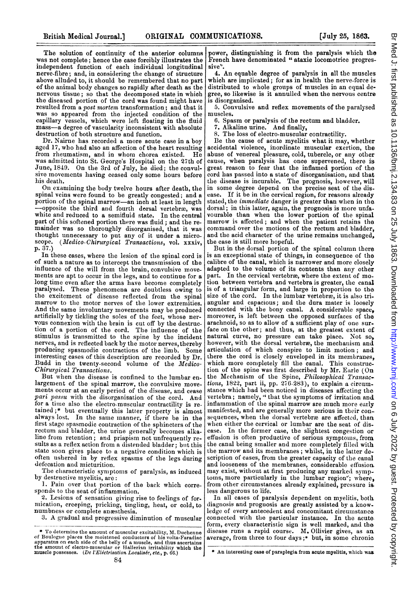The solution of continuity of the anterior columns was not complete; hence the case forcibly illustrates the independent function of each individual longitudinal nerve-fibre; and, in considering the change of structure above alluded to, it should be remembered that no part of the animal body changes so rapidly after death as the nervous tissue; so that the decomposed state in which the diseased portion of the cord was found might have resulted from a post mortem transformation; and that it was so appeared from the injected condition of the capillary vessels, which were left floating in the fluid mass-a degree of vascularity inconsistent with absolute destruction of both structure and function.

Dr. Nairne has recorded a more acute case in <sup>a</sup> boy aged 17, who had also an affection of the heart resulting from rheumatism, and in whom chorea existed. He was admitted into St. George's Hospital on the 27th of June, 1849. On the 3rd of July, he died; the convulsive movements lhaving ceased only some hours before his death.

On examining the body twelve hours after death, the spinal veins were found to be greatly congested; and a portion of the spinal marrow-an inch at least in length -opposite the third and fourth dorsal vertebrae, was white and reduced to a semifluid state. In the central part of this softened portion there was fluid; and the remainder was so thoroughly disorganised, that it was thought unnecessary to put any of it under a micro-scope. (Medico-Chirurgical Transactions, vol. xxxiv, scope. (Medico-Chirurgical Transactions, vol. xxxiv, p. 37.)

In these cases, where the lesion of the spinal cord is of such <sup>a</sup> nature as to intercept the transmission of the influence of the will from the brain, convulsive movements are apt to occur in the legs, and to continue for a long time even after the arms have become completely paralvsed. These plhenomena are doubtless owing to the excitement of disease reflected from the spinal marrow to the motor nerves of the lower extremities. And the same involuntary movements may be produced artificially by tickling the soles of the feet, whose nervous connexion with the brain is cut off by the destruction of <sup>a</sup> portion of the cord. The influence of the stimulus is transmitted to the spine by the incident nerves, and is reflected back by the motor nerves, thereby producing spasmodic contractions of the limb. Some interesting cases of this description are recorded by Dr. Budd in the twenty-second volume of the Medico-Chirurgical Transactions.

But when the disease is confined to the lumbar enlargement of the spinal marrow, the convulsive movements occur at an early period of the disease, and cease pari passu with the disorganisation of the cord. And for a time also the electro-muscular contractility is retained ;\* but eventually this latter property is almost always lost. In the same manner, if there be in the first stage spasmodic contraction of the sphincters of the rectum and bladder, the urine generally becomes alkaline from retention; and priapism not unfrequently results as a reflex action from a distended bladder; but this state soon gives place to a negative condition which is often ushered in by reflex spasms of the legs during defecation and micturition.

The characteristic symptoms of paralysis, as induced by destructive myelitis, are:

1. Pain over that portion of the back which corresponds to the seat of inflammation.

2. Lesions of sensation giving rise to feelings of for. mication, creeping, pricking, tingling, heat, or cold, to numbness or complete anesthesia.

3. A gradual anid progressive diminution of muscular

power, distinguishing it from the paralysis which the French have denominated " ataxie locomotrice progres sive".

4. An equable degree of paralysis in all the muscles which are implicated; for as in health the nerve-force is distributed to whole groups of muscles in an equal degree, so likewise is it annulled when the nervous centre is disorganised.

5. Convulsive and reflex movements of the paralysed muscles.

- 6. Spasm or paralysis of the rectum and bladder.
- 7. Alkaline urine. And finally,
- 8. The loss of electro-muscular contractility.

Be the cause of acute myelitis what it may, whether accidental violence, inordinate muscular exertion, the abuse of venereal pleasure, cold, tubercle, or any other cause, when paralysis has once supervened, there is great reason to fear that the inflamed portion of the cord has passed into a state of disorganisation, and that the disease is incurable. The prognosis, however, will in some degree depend on the precise seat of the disease. If it be in the cervical region, for reasons already stated, the *immediate* danger is greater than when in the dorsal; in this latter, again, the prognosis is more unfavourable than when the lower portion of the spinal marrow is affected; and when the patient retains the command over the motions of the rectum and bladder, and the acid character of the urine remains unchanged, the case is still more hopeful.

But in the dorsal portion of the spinal column there is an exceptional state of things, in consequence of the calibre of the canal, which is narrower and more closely adapted to the volume of its contents than any other part. In the cervical vertebræ, where the extent of motion between vertebra and vertebra is greater, the canal is of <sup>a</sup> triangular form, and large in proportion to the size of the cord. In the lumbar vertebræ, it is also triangular and capacious; and the dura mater is loosely connected with the bony canal. A considerable space, moreover, is left between the opposed surfaces of the arachnoid, so as to allow of a sufficient play of one surface on the other; and thus, at the greatest extent of natural curve, no pressure can take piace. Not so, however, with the dorsal vertebræ, the mechanism and articulation of which conspire to limit motion; and there the cord is closely enveloped in its membranes, which more completely fill the canal. This construction of the spine was first described by Mr. Earle (On the Mechanism of the Spine, Philosophical Transactions, 1822, part ii, pp. 276-283), to explain a circumstance which had been noticed in diseases affecting the vertebra; namely, "'that the symptoms of irritation and inflammation of the spinal marrow are much more early manifested, and are generally more serious in their consequences, when the dorsal vertebræ are affected, than when either the cervical or lumbar are the seat of disease. In the former case, the slightest congestion or effusion is often productive of serious symptoms, from the canal being smaller and more completely filled with the marrow and its membranes; whilst, in the latter description of cases, from the greater capacity of the canal and looseness of the membranes, considerable effusion. may exist, without at first producing any marked svmptoms, more particularly in the lumbar region"; where, from other circumstances already explained, pressure isless dangerous to life.

In all cases of paralysis dependent on myelitis, both diagnosis and prognosis are greatly assisted by <sup>a</sup> knowledge of every antecedent and concomitant circumstance connected with the particular instance. In the acute. form, every characteristic sign is well marked, and the disease runs a rapid course. M. Ollivier gives, as an average, from three to four days ;\* but, in some chronic

<sup>\*</sup> To determine the amount of muscular excitability, M. Duchenne<br>of Boulogne places the moistened conductors of his volta-Faradiac<br>apparatus on each side of the belly of a muscle, and thus ascertains<br>the amount of electro-

<sup>\*</sup> An interesting case of paraplegia from acute myelitis, which was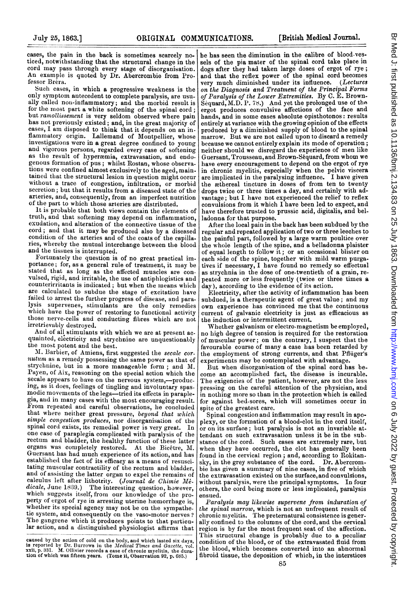cases, the pain in the back is sometimes scarcely noticed, notwithstanding that the structural change in the cord may pass through every stage of disorganisation. An example is quoted by Dr. Abercrombie from Professor Bréra.

Such cases, in which a progressive weakness is the only symptom antecedent to complete paralysis, are usually called non-inflammatory; and the morbid result is for the most part a white softening of the spinal cord; but ramollissement is very seldom observed where pain has not previously existed; and, in the great majority of cases, <sup>I</sup> am disposed to think that it depends on an inflammatory origin. Lallemand of Montpellier, whose investigations were in a great degree confined to young and vigorous persons, regarded every case of softening as the result of hyperæmia, extravasation, and endogenous formation of pus; whilst Rostan, whose observations were confined almost exclusively to the aged, maintained that the structural lesion in question might occur without a trace of congestion, infiltration, or morbid secretion; but that it results from a diseased state of the arteries, and, consequently, from an imperfect nutrition of the part to which those arteries are distributed.

It is probable that both views contain the elements of truth, and that softening may depend on inflammation, exudation, and alteration of the connective tissue of the cord; and that it may be produced also by a diseased condition of the arteries and of the coats of the capillaries, whereby the mutual intercharnge between the blood and the tissues is interrupted.

Fortunately the question is of no great practical importance; for, as a general rule of treatment, it may be stated that as long as the affected muscles are convulsed, rigid, and irritable, the use of antiphlogistics and counterirritants is indicated; but when the ineans which are calculated to subdue the stage of excitation have failed to arrest the further progress of disease, and paralysis supervenes, stimulants are the only remedies which have the power of restoring to functional activity those nerve-cells and conducting fibres which are not irretrievably destroyed.

And of all stimulants with which we are at present acquainted, electricity and strychnine are unquestionably the most potent and the best.

M. Barbier, of Amiens, first suggested the secale cornutum as <sup>a</sup> remedy possessing the same power as that of strychnine, but in a more manageable form; and M. Payen, of Aix, reasoning on the special action which the secale appears to have on the nervous system,--producing, as it does, feelings of tingling and involuntary spasmodic movements of the legs-tried its effects in paraplegia, and in many cases with the most encouraging result. From repeated and careful observations, he concluded that where neither great pressure, beyond that which simple congestion produces, nor disorganisation of the spinal cord exists, its remedial power is very great. In one case of paraplegia complicated with paralysis of the rectum and bladder, the healthy function of these latter<br>organs was completely restored. At the Bicêtre, M. Guersant has had miuch experience of its action, and has established the fact of its efficacy as a means of resuscitating muscular contractility of the rectum and bladder, and of assisting the latter organ to expel the remains of calculus left after lithotrity. (Journal de Chimie Mé-dicale, June 1839.) The interesting question, however, which suggests itself, from our knowledge of the pro-<br>perty of ergot of rye in arresting uterine hæmorrhage is, whether its special agency may not be on the sympathetic system, and consequently on the vaso-motor nerves ? The gangrene which it produces points to that particular action, and a distinguished physiologist affirms that

be has seen the diminution in the calibre of blood-vessels of the pia mater of the spinal cord take place in dogs after they had taken large doses of ergot of rye; and that the reflex power of the spinal cord becomes very much diminished under its influence. (Lectures on the Diagnosis and Treatment of the Principal Forms of Paralysis of the Lower Extremities. By C.  $\mathbb E$ . Brown-Sequard, M.D. P. 78.) And yet the prolonged use of the ergot produces convulsive affections of the face and hands, and in some cases absolute opisthotonos: results entirely at variance with the growing opinion of the effects produced by a diminished supply of blood to the spinal marrow. But we are not called upon to discard a remedy because we cannot entirely explain its mode of operation; neither should we disregard the experience of men like Guersant, Trousseau, and Brown-S6quard, from whom we have every encouragement to depend on the ergot of rye in chronic myelitis, especially when the pelvic viscera are implicated in the paralysing influence. I bave given the æthereal tincture in doses of from ten to twenty drops twice or three times a day, and certainly with advantage; but I have not experienced the relief to reflex convulsions from it which I have been led to expect, and have therefore trusted to prussic acid, digitalis, and belladonna for that purpose.

After the local pain in the back has been subdued by the regular and repeated application of two or three leeches to the painful part, followed by <sup>a</sup> large warm poultice over the whole length of the spine, and a belladonna plaister of equal length to follow it; or an occasional blister on each side of the spine, together with mild warm purgatives if necessary, <sup>I</sup> have found no remedy so effectual as strychnia in the dose of one-twentieth of a grain, repeated more or less frequently (twice or three times a dav), according to the evidence of its action.

Electricity, after the activity of inflammation has been subdued, is <sup>a</sup> therapeutic agent of great value; and my own experience has convinced me that the continuous current of galvanic electricity is just as efficacious as the induction or intermittent current.

Whether galvanism or electro-magnetism be employed, no high degree of tension is required for the restoration of muscular power; on the contrary, <sup>I</sup> suspect that the favourable course of many <sup>a</sup> case has been retarded by the employment of strong currents, and that Pfluiger's experiments may be contemplated with advantage.

But when disorganisation of the spinal cord has become an accomplished fact, the disease is incurable. The exigencies of the patient, however, are not the less pressing on the careful attention of the physician, and in nothing more so than in the protection which is called for against bed-sores, which will sometimes occur in spite of the greatest care.

Spinal congestion and inflammation may result in apoplexy, or the formation of a blood-clot in the cord itself, or on its surface; but paralysis is not an invariable attendant on such extravasation unless it be in the substance of the cord. Such cases are extremely rare, but when they have occurred, the clot has generally been found in the cervical region; and, according to Rokitan. sky, in the grey substance of the cord. Dr. Abercrombie has given a summary of nine cases, in five of which the extravasation existed on the surface, and convulsions, without paralysis, were the principal symptoms. In four others, the cord being more or less implicated, paralysis ensued.

Paralysis may likewise supervene from induration of the spinal marrow, which is not an unfrequent result of chronic myelitis. The preternatural consistence is generally confined to the columns of the cord, and the cervical region is by far the most frequent seat of the affection. This structural change is probably due to a peculiar condition of the blood, or of the extravasated fluid from the blood, which becomes converted into an abnormal fibroid tissue, the deposition of which, in the interstices

caused by the action of cold on the body, and which lasted six days, is reported by Dr. Burrows in the Medical Times and Gazette, vol. XXII, p. 331. M. Ollivier records a case of chronic myelitis, the duration of which was fifteen years. (Tome ii, Observation 92, p. 685.)